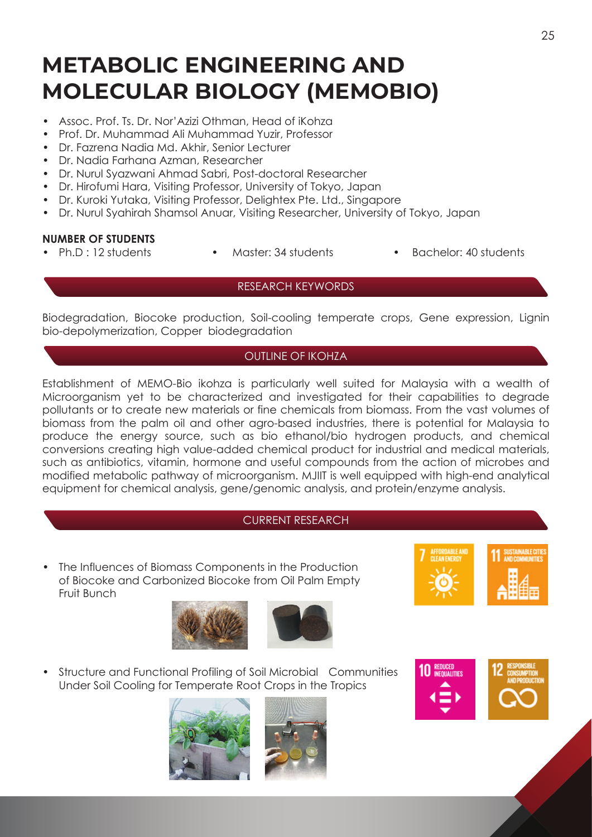# **METABOLIC ENGINEERING AND MOLECULAR BIOLOGY (MEMOBIO)**

- Assoc. Prof. Ts. Dr. Nor'Azizi Othman, Head of iKohza
- Prof. Dr. Muhammad Ali Muhammad Yuzir, Professor
- Dr. Fazrena Nadia Md. Akhir, Senior Lecturer
- Dr. Nadia Farhana Azman, Researcher
- Dr. Nurul Syazwani Ahmad Sabri, Post-doctoral Researcher
- Dr. Hirofumi Hara, Visiting Professor, University of Tokyo, Japan
- Dr. Kuroki Yutaka, Visiting Professor, Delightex Pte. Ltd., Singapore
- Dr. Nurul Syahirah Shamsol Anuar, Visiting Researcher, University of Tokyo, Japan

## **NUMBER OF STUDENTS**

- 
- 
- Ph.D : 12 students Master: 34 students Bachelor: 40 students

## RESEARCH KEYWORDS

Biodegradation, Biocoke production, Soil-cooling temperate crops, Gene expression, Lignin bio-depolymerization, Copper biodegradation

## OUTLINE OF IKOHZA

Establishment of MEMO-Bio ikohza is particularly well suited for Malaysia with a wealth of Microorganism yet to be characterized and investigated for their capabilities to degrade pollutants or to create new materials or fine chemicals from biomass. From the vast volumes of biomass from the palm oil and other agro-based industries, there is potential for Malaysia to produce the energy source, such as bio ethanol/bio hydrogen products, and chemical conversions creating high value-added chemical product for industrial and medical materials, such as antibiotics, vitamin, hormone and useful compounds from the action of microbes and modified metabolic pathway of microorganism. MJIIT is well equipped with high-end analytical equipment for chemical analysis, gene/genomic analysis, and protein/enzyme analysis.

# CURRENT RESEARCH

• The Influences of Biomass Components in the Production of Biocoke and Carbonized Biocoke from Oil Palm Empty Fruit Bunch





• Structure and Functional Profiling of Soil Microbial Communities Under Soil Cooling for Temperate Root Crops in the Tropics